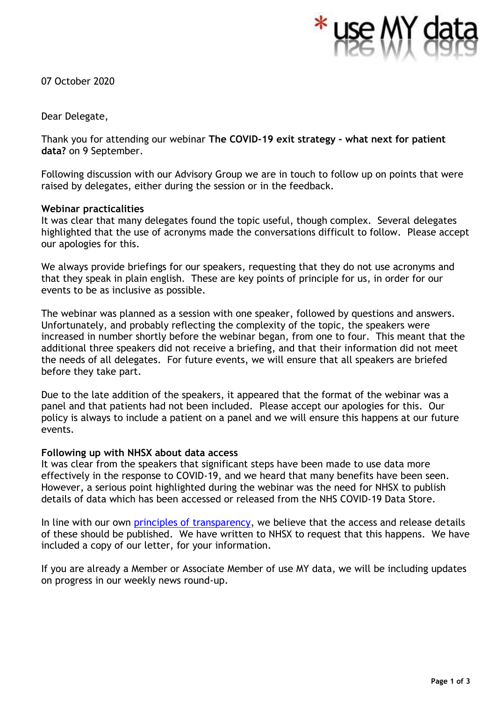

07 October 2020

Dear Delegate,

Thank you for attending our webinar **The COVID-19 exit strategy - what next for patient data?** on 9 September.

Following discussion with our Advisory Group we are in touch to follow up on points that were raised by delegates, either during the session or in the feedback.

## **Webinar practicalities**

It was clear that many delegates found the topic useful, though complex. Several delegates highlighted that the use of acronyms made the conversations difficult to follow. Please accept our apologies for this.

We always provide briefings for our speakers, requesting that they do not use acronyms and that they speak in plain english. These are key points of principle for us, in order for our events to be as inclusive as possible.

The webinar was planned as a session with one speaker, followed by questions and answers. Unfortunately, and probably reflecting the complexity of the topic, the speakers were increased in number shortly before the webinar began, from one to four. This meant that the additional three speakers did not receive a briefing, and that their information did not meet the needs of all delegates. For future events, we will ensure that all speakers are briefed before they take part.

Due to the late addition of the speakers, it appeared that the format of the webinar was a panel and that patients had not been included. Please accept our apologies for this. Our policy is always to include a patient on a panel and we will ensure this happens at our future events.

## **Following up with NHSX about data access**

It was clear from the speakers that significant steps have been made to use data more effectively in the response to COVID-19, and we heard that many benefits have been seen. However, a serious point highlighted during the webinar was the need for NHSX to publish details of data which has been accessed or released from the NHS COVID-19 Data Store.

In line with our own [principles of transparency,](http://www.usemydata.org/projects.php?project=4) we believe that the access and release details of these should be published. We have written to NHSX to request that this happens. We have included a copy of our letter, for your information.

If you are already a Member or Associate Member of use MY data, we will be including updates on progress in our weekly news round-up.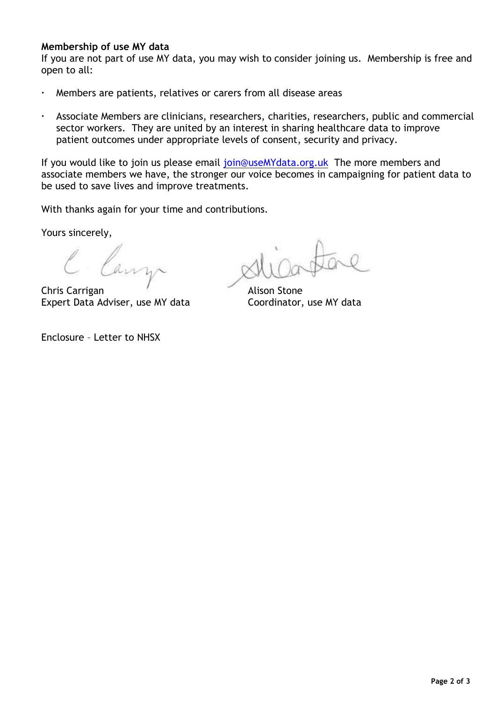## **Membership of use MY data**

If you are not part of use MY data, you may wish to consider joining us. Membership is free and open to all:

- Members are patients, relatives or carers from all disease areas
- Associate Members are clinicians, researchers, charities, researchers, public and commercial sector workers. They are united by an interest in sharing healthcare data to improve patient outcomes under appropriate levels of consent, security and privacy.

If you would like to join us please email [join@useMYdata.org.uk](mailto:join@useMYdata.org.uk) The more members and associate members we have, the stronger our voice becomes in campaigning for patient data to be used to save lives and improve treatments.

With thanks again for your time and contributions.

Yours sincerely,

Canz

Chris Carrigan Alison Stone Expert Data Adviser, use MY data Coordinator, use MY data

Enclosure – Letter to NHSX